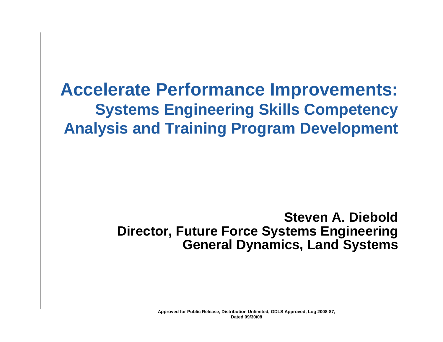## **Accelerate Performance Improvements: Systems Engineering Skills Competency Analysis and Training Program Development**

### **Steven A. DieboldDirector, Future Force Systems Engineering General Dynamics, Land Systems**

**Approved for Public Release, Distribution Unlimited, GDLS Approved, Log 2008-87, Dated 09/30/08**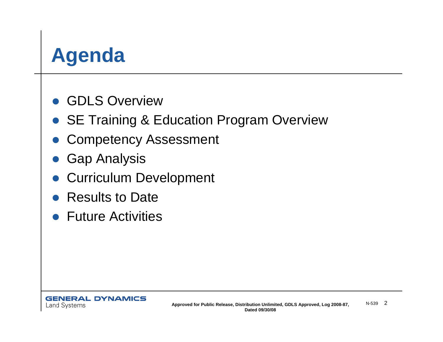# **Agenda**

- **GDLS Overview**
- SE Training & Education Program Overview
- $\bullet$ Competency Assessment
- $\bullet$ Gap Analysis
- **Curriculum Development**
- Results to Date
- **Future Activities**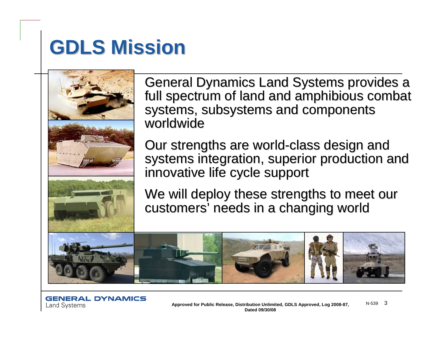# **GDLS Mission GDLS Mission**



General Dynamics Land Systems provides a full spectrum of land and amphibious combat systems, subsystems and components worldwide

Our strengths are world-class design and systems integration, superior production and innovative life cycle support

We will deploy these strengths to meet our customers' needs in a changing world

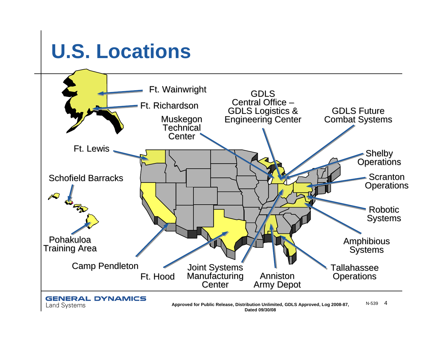# **U.S. Locations**



#### **GENERAL DYNAMICS Land Systems**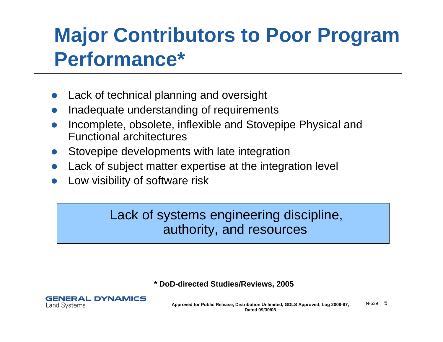# **Major Contributors to Poor Program Performance\***

- $\bullet$ Lack of technical planning and oversight
- $\bullet$ Inadequate understanding of requirements
- $\bullet$  Incomplete, obsolete, inflexible and Stovepipe Physical and Functional architectures
- $\bullet$ Stovepipe developments with late integration
- $\bullet$ Lack of subject matter expertise at the integration level
- $\bullet$ Low visibility of software risk

### Lack of systems engineering discipline, authority, and resources

#### **\* DoD-directed Studies/Reviews, 2005**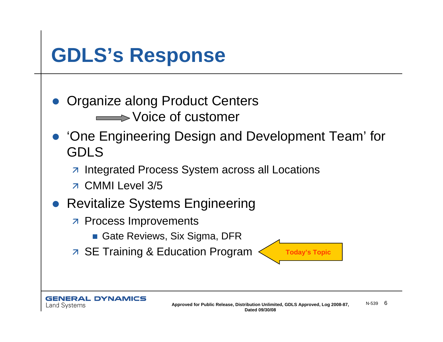# **GDLS's Response**

 $\bullet$ Organize along Product Centers

**Noice of customer** 

- $\bullet$  'One Engineering Design and Development Team' for GDLS
	- z Integrated Process System across all Locations
	- z CMMI Level 3/5
- $\bullet$  Revitalize Systems Engineering
	- *A* Process Improvements
		- Gate Reviews, Six Sigma, DFR
	- **EXALGE ANGLE SET AT A SET Training & Education Program**  $\leftarrow$  **Today's Topic**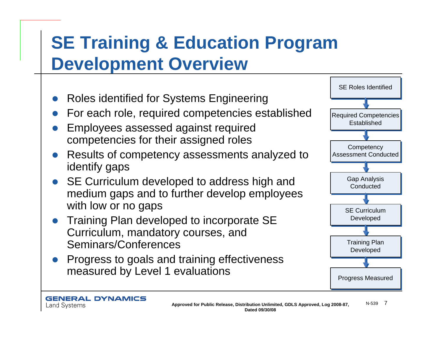## **SE Training & Education Program Development Overview**

- $\bullet$ Roles identified for Systems Engineering
- $\bullet$ For each role, required competencies established
- $\bullet$  Employees assessed against required competencies for their assigned roles
- $\bullet$  Results of competency assessments analyzed to identify gaps
- $\bullet$ SE Curriculum developed to address high and medium gaps and to further develop employees with low or no gaps
- $\bullet$  Training Plan developed to incorporate SE Curriculum, mandatory courses, and Seminars/Conferences
- $\bullet$  Progress to goals and training effectiveness measured by Level 1 evaluations

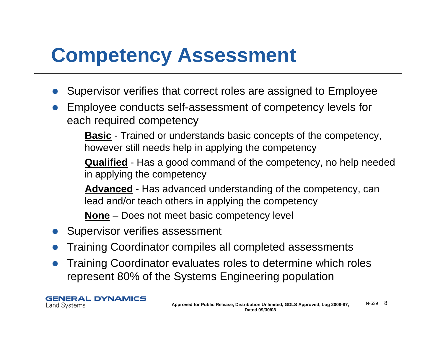# **Competency Assessment**

- $\bullet$ Supervisor verifies that correct roles are assigned to Employee
- $\bullet$  Employee conducts self-assessment of competency levels for each required competency

**Basic** - Trained or understands basic concepts of the competency, however still needs help in applying the competency

**Qualified** - Has a good command of the competency, no help needed in applying the competency

**Advanced** - Has advanced understanding of the competency, can lead and/or teach others in applying the competency

**None** – Does not meet basic competency level

- $\bullet$ Supervisor verifies assessment
- $\bullet$ Training Coordinator compiles all completed assessments
- $\bullet$  Training Coordinator evaluates roles to determine which roles represent 80% of the Systems Engineering population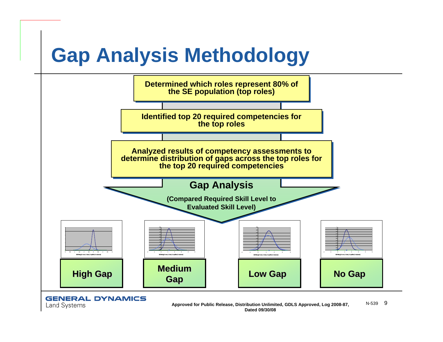# **Gap Analysis Methodology**



**GENERAL DYNAMICS** 

**Land Systems**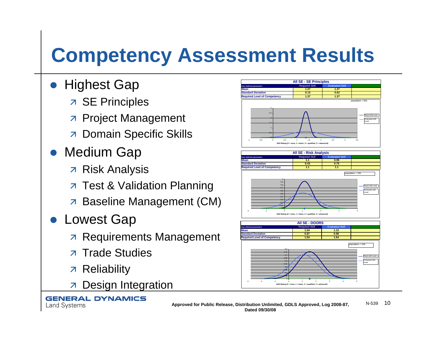# **Competency Assessment Results**

- $\bullet$  Highest Gap
	- **7 SE Principles**
	- **R** Project Management
	- **7 Domain Specific Skills**
- **Medium Gap** 
	- z Risk Analysis
	- **A** Test & Validation Planning
	- **A** Baseline Management (CM)
- **Lowest Gap** 
	- $\overline{z}$  Requirements Management
	- **7 Trade Studies**
	- z Reliability

**GENERAL DYNAMICS** 

**Land Systems** 

 $\overline{\mathbf{z}}$ Design Integration





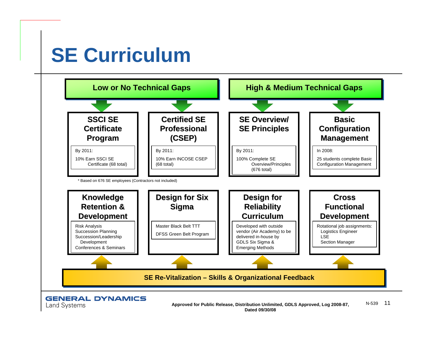# **SE Curriculum**

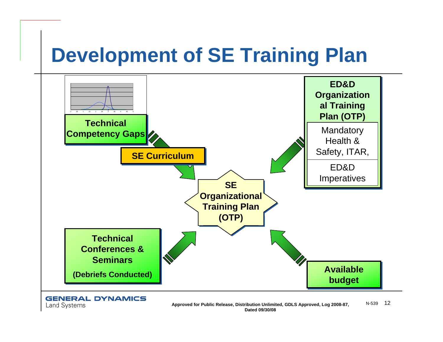# **Development of SE Training Plan**



**GENERAL DYNAMICS Land Systems**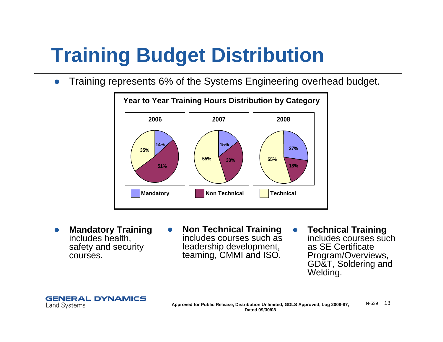# **Training Budget Distribution**

zTraining represents 6% of the Systems Engineering overhead budget.



- $\bullet$  **Mandatory Training** includes health, safety and security courses.
- $\bullet$  **Non Technical Training** includes courses such as leadership development, teaming, CMMI and ISO.
- **Technical Training** includes courses such as SE Certificate Program/Overviews, GD&T, Soldering and Welding.

 $\bullet$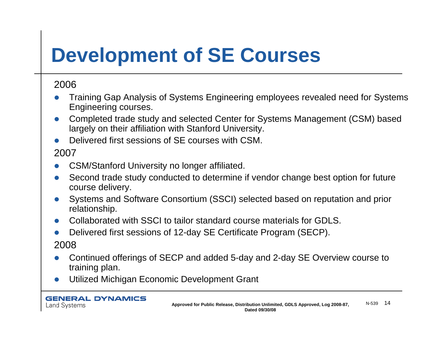# **Development of SE Courses**

#### 2006

- $\bullet$  Training Gap Analysis of Systems Engineering employees revealed need for Systems Engineering courses.
- $\bullet$  Completed trade study and selected Center for Systems Management (CSM) based largely on their affiliation with Stanford University.
- $\bullet$ Delivered first sessions of SE courses with CSM.

#### 2007

- $\bullet$ CSM/Stanford University no longer affiliated.
- $\bullet$  Second trade study conducted to determine if vendor change best option for future course delivery.
- $\bullet$  Systems and Software Consortium (SSCI) selected based on reputation and prior relationship.
- $\bullet$ Collaborated with SSCI to tailor standard course materials for GDLS.
- $\bullet$  Delivered first sessions of 12-day SE Certificate Program (SECP). 2008
- $\bullet$  Continued offerings of SECP and added 5-day and 2-day SE Overview course to training plan.
- $\bullet$ Utilized Michigan Economic Development Grant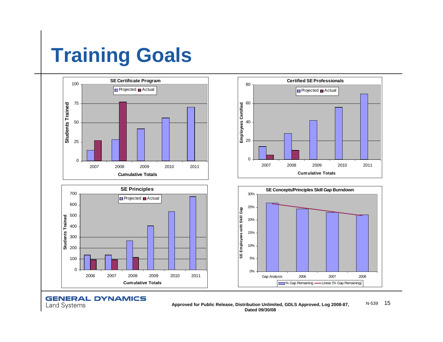# **Training Goals**



**GENERAL DYNAMICS Land Systems** 

**Approved for Public Release, Distribution Unlimited, GDLS Approved, Log 2008-87,** N-539 <sup>15</sup> **Dated 09/30/08**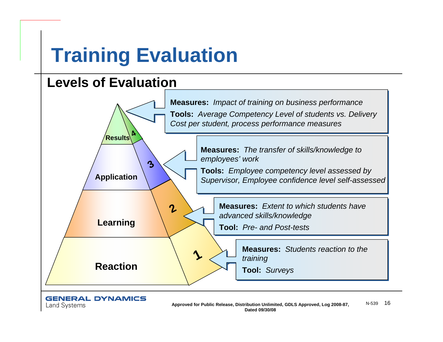# **Training Evaluation**

### **Levels of Evaluation**



#### **GENERAL DYNAMICS**

**Land Systems**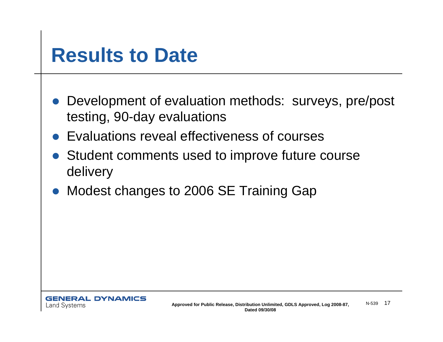## **Results to Date**

- Development of evaluation methods: surveys, pre/post testing, 90-day evaluations
- Evaluations reveal effectiveness of courses
- Student comments used to improve future course delivery
- Modest changes to 2006 SE Training Gap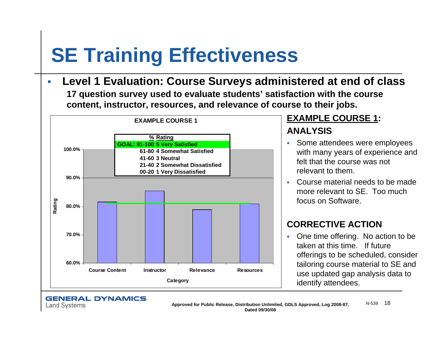# **SE Training Effectiveness**

Г **Level 1 Evaluation: Course Surveys administered at end of class 17 question survey used to evaluate students' satisfaction with the course** 





**Land Systems** 

#### **EXAMPLE COURSE 1: ANALYSIS**

- Some attendees were employees with many years of experience and felt that the course was not relevant to them.
- Course material needs to be made more relevant to SE. Too much focus on Software.

#### **CORRECTIVE ACTION**

• One time offering. No action to be taken at this time. If future offerings to be scheduled, consider tailoring course material to SE and use updated gap analysis data to identify attendees.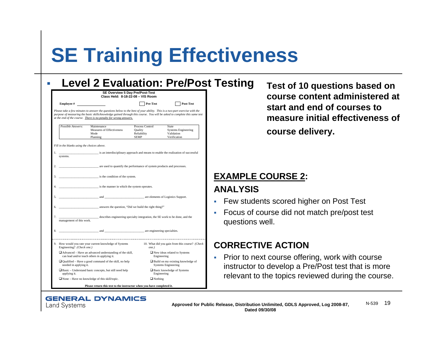# **SE Training Effectiveness**

|                                                                                                           |                                                                                                                                                                                                                                                                                                                           | SE Overview 5 Day Pre/Post-Test<br>Class Held: 8-18-22-08 - VIS Room |                                                                        |
|-----------------------------------------------------------------------------------------------------------|---------------------------------------------------------------------------------------------------------------------------------------------------------------------------------------------------------------------------------------------------------------------------------------------------------------------------|----------------------------------------------------------------------|------------------------------------------------------------------------|
| <b>Employee</b> #                                                                                         |                                                                                                                                                                                                                                                                                                                           | Pre-Test                                                             | Post-Test                                                              |
|                                                                                                           | Please take a few minutes to answer the questions below to the best of your ability. This is a two-part exercise with the<br>purpose of measuring the basic skills/knowledge gained through this course. You will be asked to complete this same test<br>at the end of the course. There is no penalty for wrong answers. |                                                                      |                                                                        |
| Possible Answers:                                                                                         | Maintenance<br>Measures of Effectiveness<br>Mode<br>Planning                                                                                                                                                                                                                                                              | Process Control<br>Quality<br>Reliability<br>SEMP                    | State<br><b>Systems Engineering</b><br>Validation<br>Verification      |
| Fill in the blanks using the choices above.<br>1.                                                         | is an interdisciplinary approach and means to enable the realization of successful                                                                                                                                                                                                                                        |                                                                      |                                                                        |
| systems.<br>2.                                                                                            | are used to quantify the performance of system products and processes.                                                                                                                                                                                                                                                    |                                                                      |                                                                        |
| 3.                                                                                                        | is the condition of the system.                                                                                                                                                                                                                                                                                           |                                                                      |                                                                        |
| 4.                                                                                                        | is the manner in which the system operates.                                                                                                                                                                                                                                                                               |                                                                      |                                                                        |
| 5.                                                                                                        | and are elements of Logistics Support.                                                                                                                                                                                                                                                                                    |                                                                      |                                                                        |
| 6.                                                                                                        | answers the question, "Did we build the right thing?"                                                                                                                                                                                                                                                                     |                                                                      |                                                                        |
| 7.<br>management of this work.                                                                            | describes engineering specialty integration, the SE work to be done, and the                                                                                                                                                                                                                                              |                                                                      |                                                                        |
| 8.                                                                                                        |                                                                                                                                                                                                                                                                                                                           |                                                                      |                                                                        |
|                                                                                                           | 9. How would you rate your current knowledge of Systems 10. What did you gain from this course? (Check<br>Engineering? (Check one.)                                                                                                                                                                                       |                                                                      |                                                                        |
| □ Advanced - Have an advanced understanding of the skill,<br>can lead and/or teach others in applying it. |                                                                                                                                                                                                                                                                                                                           | Engineering                                                          | $\Box$ New ideas related to Systems                                    |
| $\Box$ Qualified – Have a good command of the skill, no help<br>needed in applying it.                    |                                                                                                                                                                                                                                                                                                                           |                                                                      | $\Box$ Build on my existing knowledge of<br><b>Systems Engineering</b> |
| $\Box$ Basic – Understand basic concepts, but still need help<br>applying it.                             |                                                                                                                                                                                                                                                                                                                           | Engineering                                                          | $\Box$ Basic knowledge of Systems                                      |
|                                                                                                           | $\Box$ None – Have no knowledge of this skill/topic.                                                                                                                                                                                                                                                                      | $\Box$ Nothing                                                       |                                                                        |

**GENERAL DYNAMICS** 

**Land Systems** 

**Levaluary 2 Fost of 10 questions based on course content administered at start and end of courses to measure initial effectiveness of course delivery.**

#### **EXAMPLE COURSE 2: ANALYSIS**

- Few students scored higher on Post Test
- Focus of course did not match pre/post test questions well.

#### **CORRECTIVE ACTION**

 Prior to next course offering, work with course instructor to develop a Pre/Post test that is more relevant to the topics reviewed during the course.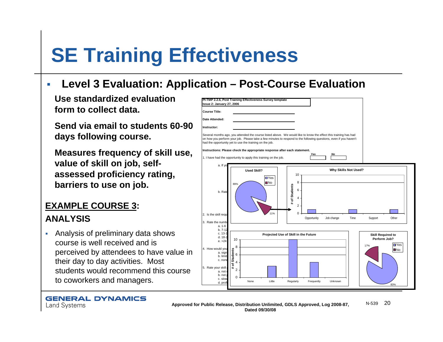# **SE Training Effectiveness**

#### **Level 3 Evaluation: Application – Post-Course Evaluation**

Use standardized evaluation **PETMP 2.2.6. Post Training Effectiveness** Survey template **form to collect data.**

**Send via email to students 60-90 days following course.**

**Measures frequency of skill use, value of skill on job, selfassessed proficiency rating, barriers to use on job.** 

## **EXAMPLE COURSE 3:**

#### **ANALYSIS**

г Analysis of preliminary data shows course is well received and is perceived by attendees to have value in their day to day activities. Most students would recommend this course to coworkers and managers.

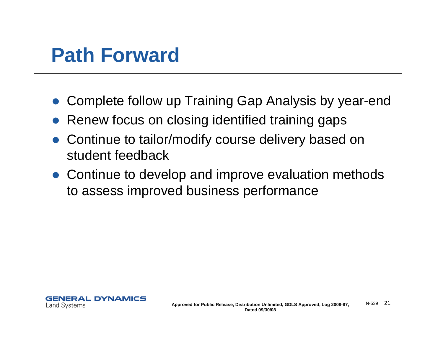# **Path Forward**

- $\bullet$ Complete follow up Training Gap Analysis by year-end
- $\bullet$ Renew focus on closing identified training gaps
- $\bullet$  Continue to tailor/modify course delivery based on student feedback
- Continue to develop and improve evaluation methods to assess improved business performance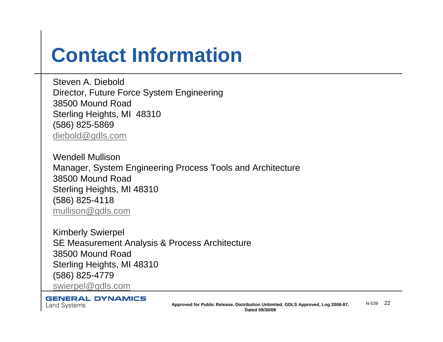# **Contact Information**

Steven A. DieboldDirector, Future Force System Engineering 38500 Mound RoadSterling Heights, MI 48310 (586) 825-5869 diebold@gdls.com

Wendell MullisonManager, System Engineering Process Tools and Architecture 38500 Mound RoadSterling Heights, MI 48310 (586) 825-4118 mullison@gdls.com

Kimberly Swierpel SE Measurement Analysis & Process Architecture 38500 Mound RoadSterling Heights, MI 48310 (586) 825-4779 swierpel@gdls.com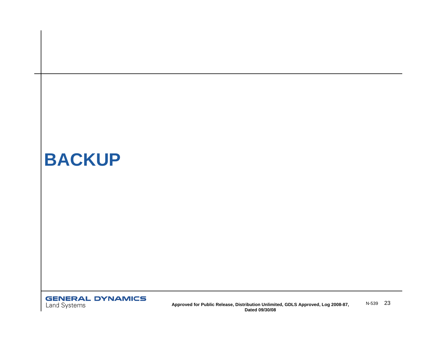## **BACKUP**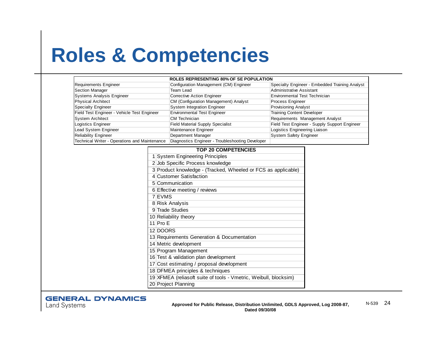# **Roles & Competencies**

| <b>ROLES REPRESENTING 80% OF SE POPULATION</b> |                                                  |                                                |  |  |
|------------------------------------------------|--------------------------------------------------|------------------------------------------------|--|--|
| Requirements Engineer                          | Configuration Management (CM) Engineer           | Specialty Engineer - Embedded Training Analyst |  |  |
| <b>Section Manager</b>                         | Team Lead                                        | <b>Administrative Assistant</b>                |  |  |
| Systems Analysis Engineer                      | Corrective Action Engineer                       | <b>Environmental Test Technician</b>           |  |  |
| <b>Physical Architect</b>                      | CM (Configuration Management) Analyst            | Process Engineer                               |  |  |
| Specialty Engineer                             | <b>System Integration Engineer</b>               | <b>Provisioning Analyst</b>                    |  |  |
| Field Test Engineer - Vehicle Test Engineer    | <b>Environmental Test Engineer</b>               | <b>Training Content Developer</b>              |  |  |
| <b>System Architect</b>                        | <b>CM Technician</b>                             | Requirements Management Analyst                |  |  |
| Logistics Engineer                             | <b>Field Material Supply Specialist</b>          | Field Test Engineer - Supply Support Engineer  |  |  |
| Lead System Engineer                           | Maintenance Engineer                             | Logistics Engineering Liaison                  |  |  |
| <b>Reliability Engineer</b>                    | Department Manager                               | <b>System Safety Engineer</b>                  |  |  |
| Technical Writer - Operations and Maintenance  | Diagnostics Engineer - Troubleshooting Developer |                                                |  |  |
|                                                | --- -- -------------                             |                                                |  |  |

| TOP 20 COMPETENCIES                                              |  |  |
|------------------------------------------------------------------|--|--|
| 1 System Engineering Principles                                  |  |  |
| 2 Job Specific Process knowledge                                 |  |  |
| 3 Product knowledge - (Tracked, Wheeled or FCS as applicable)    |  |  |
| 4 Customer Satisfaction                                          |  |  |
| 5 Communication                                                  |  |  |
| 6 Effective meeting / reviews                                    |  |  |
| 7 EVMS                                                           |  |  |
| 8 Risk Analysis                                                  |  |  |
| 9 Trade Studies                                                  |  |  |
| 10 Reliability theory                                            |  |  |
| 11 $ProE$                                                        |  |  |
| 12 DOORS                                                         |  |  |
| 13 Requirements Generation & Documentation                       |  |  |
| 14 Metric development                                            |  |  |
| 15 Program Management                                            |  |  |
| 16 Test & validation plan development                            |  |  |
| 17 Cost estimating / proposal development                        |  |  |
| 18 DFMEA principles & techniques                                 |  |  |
| 19 XFMEA (reliasoft suite of tools - Vmetric, Weibull, blocksim) |  |  |
| 20 Project Planning                                              |  |  |

#### **TOP 20 COMPETENCIES**

#### **GENERAL DYNAMICS**

**Land Systems**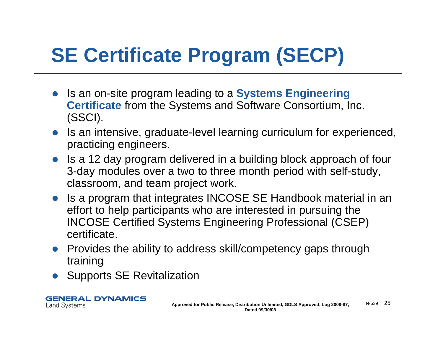# **SE Certificate Program (SECP)**

- $\bullet$  Is an on-site program leading to a **Systems Engineering Certificate** from the Systems and Software Consortium, Inc. (SSCI).
- $\bullet$  Is an intensive, graduate-level learning curriculum for experienced, practicing engineers.
- $\bullet$  Is a 12 day program delivered in a building block approach of four 3-day modules over a two to three month period with self-study, classroom, and team project work.
- Is a program that integrates INCOSE SE Handbook material in an effort to help participants who are interested in pursuing the INCOSE Certified Systems Engineering Professional (CSEP) certificate.
- $\bullet$  Provides the ability to address skill/competency gaps through training
- $\bullet$ Supports SE Revitalization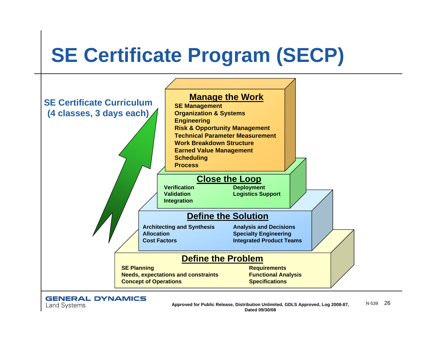# **SE Certificate Program (SECP)**



**GENERAL DYNAMICS Land Systems** 

**Approved for Public Release, Distribution Unlimited, GDLS Approved, Log 2008-87,** N-539 <sup>26</sup> **Dated 09/30/08**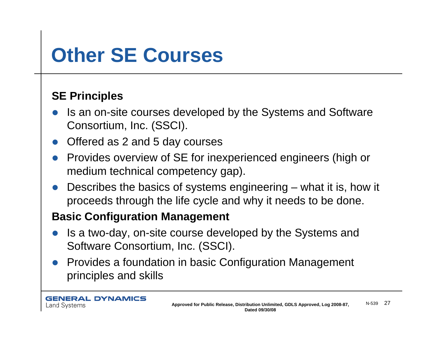# **Other SE Courses**

### **SE Principles**

- $\bullet$  Is an on-site courses developed by the Systems and Software Consortium, Inc. (SSCI).
- $\bullet$ Offered as 2 and 5 day courses
- $\bullet$  Provides overview of SE for inexperienced engineers (high or medium technical competency gap).
- $\bullet$  Describes the basics of systems engineering – what it is, how it proceeds through the life cycle and why it needs to be done.

### **Basic Configuration Management**

- $\bullet$  Is a two-day, on-site course developed by the Systems and Software Consortium, Inc. (SSCI).
- Provides a foundation in basic Configuration Management principles and skills